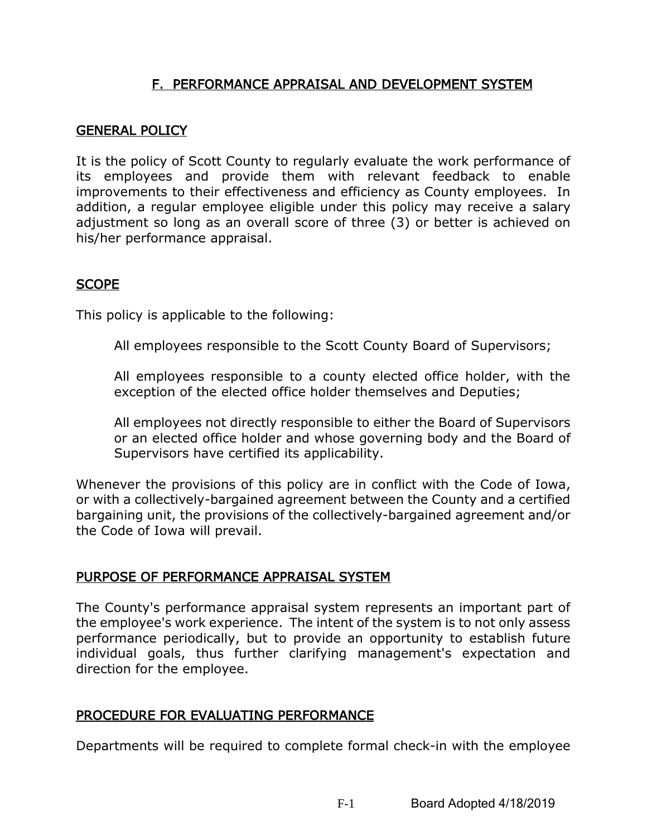# F. PERFORMANCE APPRAISAL AND DEVELOPMENT SYSTEM

#### GENERAL POLICY

It is the policy of Scott County to regularly evaluate the work performance of its employees and provide them with relevant feedback to enable improvements to their effectiveness and efficiency as County employees. In addition, a regular employee eligible under this policy may receive a salary adjustment so long as an overall score of three (3) or better is achieved on his/her performance appraisal.

#### **SCOPE**

This policy is applicable to the following:

All employees responsible to the Scott County Board of Supervisors;

All employees responsible to a county elected office holder, with the exception of the elected office holder themselves and Deputies;

All employees not directly responsible to either the Board of Supervisors or an elected office holder and whose governing body and the Board of Supervisors have certified its applicability.

Whenever the provisions of this policy are in conflict with the Code of Iowa, or with a collectively-bargained agreement between the County and a certified bargaining unit, the provisions of the collectively-bargained agreement and/or the Code of Iowa will prevail.

## PURPOSE OF PERFORMANCE APPRAISAL SYSTEM

The County's performance appraisal system represents an important part of the employee's work experience. The intent of the system is to not only assess performance periodically, but to provide an opportunity to establish future individual goals, thus further clarifying management's expectation and direction for the employee.

## PROCEDURE FOR EVALUATING PERFORMANCE

Departments will be required to complete formal check-in with the employee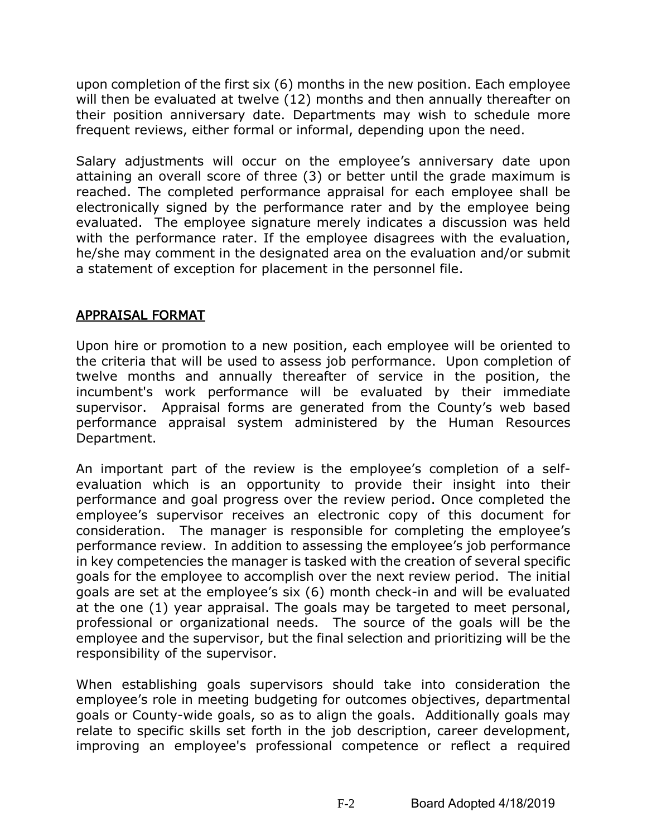upon completion of the first six (6) months in the new position. Each employee will then be evaluated at twelve (12) months and then annually thereafter on their position anniversary date. Departments may wish to schedule more frequent reviews, either formal or informal, depending upon the need.

Salary adjustments will occur on the employee's anniversary date upon attaining an overall score of three (3) or better until the grade maximum is reached. The completed performance appraisal for each employee shall be electronically signed by the performance rater and by the employee being evaluated. The employee signature merely indicates a discussion was held with the performance rater. If the employee disagrees with the evaluation, he/she may comment in the designated area on the evaluation and/or submit a statement of exception for placement in the personnel file.

## APPRAISAL FORMAT

Upon hire or promotion to a new position, each employee will be oriented to the criteria that will be used to assess job performance. Upon completion of twelve months and annually thereafter of service in the position, the incumbent's work performance will be evaluated by their immediate supervisor. Appraisal forms are generated from the County's web based performance appraisal system administered by the Human Resources Department.

An important part of the review is the employee's completion of a selfevaluation which is an opportunity to provide their insight into their performance and goal progress over the review period. Once completed the employee's supervisor receives an electronic copy of this document for consideration. The manager is responsible for completing the employee's performance review. In addition to assessing the employee's job performance in key competencies the manager is tasked with the creation of several specific goals for the employee to accomplish over the next review period. The initial goals are set at the employee's six (6) month check-in and will be evaluated at the one (1) year appraisal. The goals may be targeted to meet personal, professional or organizational needs. The source of the goals will be the employee and the supervisor, but the final selection and prioritizing will be the responsibility of the supervisor.

When establishing goals supervisors should take into consideration the employee's role in meeting budgeting for outcomes objectives, departmental goals or County-wide goals, so as to align the goals. Additionally goals may relate to specific skills set forth in the job description, career development, improving an employee's professional competence or reflect a required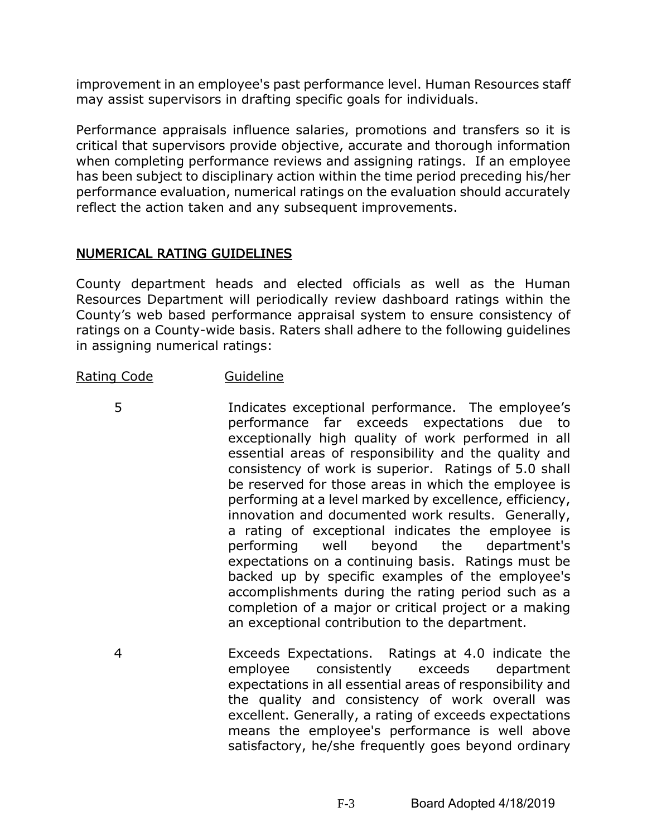improvement in an employee's past performance level. Human Resources staff may assist supervisors in drafting specific goals for individuals.

Performance appraisals influence salaries, promotions and transfers so it is critical that supervisors provide objective, accurate and thorough information when completing performance reviews and assigning ratings. If an employee has been subject to disciplinary action within the time period preceding his/her performance evaluation, numerical ratings on the evaluation should accurately reflect the action taken and any subsequent improvements.

## NUMERICAL RATING GUIDELINES

County department heads and elected officials as well as the Human Resources Department will periodically review dashboard ratings within the County's web based performance appraisal system to ensure consistency of ratings on a County-wide basis. Raters shall adhere to the following guidelines in assigning numerical ratings:

#### Rating Code Guideline

- 5 Indicates exceptional performance. The employee's performance far exceeds expectations due to exceptionally high quality of work performed in all essential areas of responsibility and the quality and consistency of work is superior. Ratings of 5.0 shall be reserved for those areas in which the employee is performing at a level marked by excellence, efficiency, innovation and documented work results. Generally, a rating of exceptional indicates the employee is performing well beyond the department's expectations on a continuing basis. Ratings must be backed up by specific examples of the employee's accomplishments during the rating period such as a completion of a major or critical project or a making an exceptional contribution to the department.
	- 4 Exceeds Expectations. Ratings at 4.0 indicate the employee consistently exceeds department expectations in all essential areas of responsibility and the quality and consistency of work overall was excellent. Generally, a rating of exceeds expectations means the employee's performance is well above satisfactory, he/she frequently goes beyond ordinary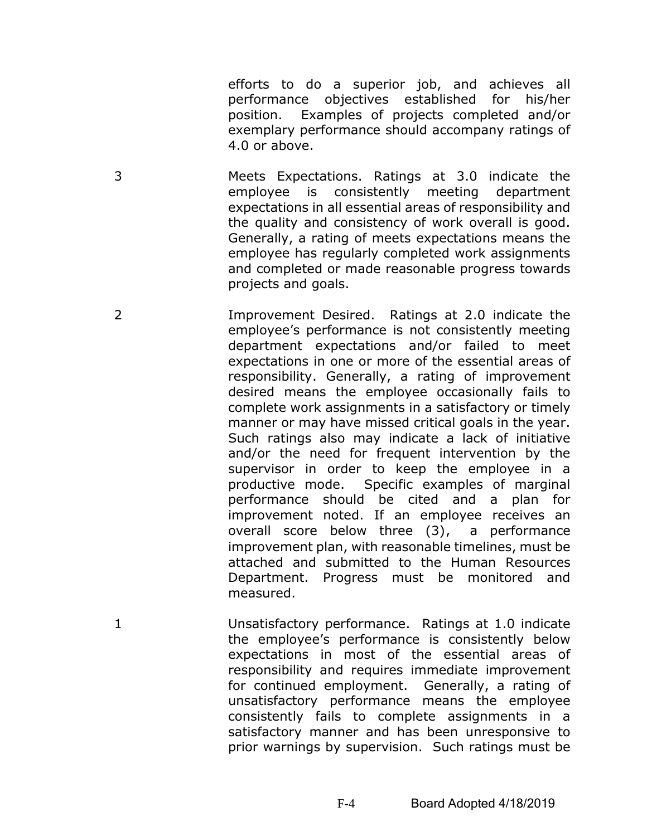efforts to do a superior job, and achieves all performance objectives established for his/her position. Examples of projects completed and/or exemplary performance should accompany ratings of 4.0 or above.

- 3 Meets Expectations. Ratings at 3.0 indicate the employee is consistently meeting department expectations in all essential areas of responsibility and the quality and consistency of work overall is good. Generally, a rating of meets expectations means the employee has regularly completed work assignments and completed or made reasonable progress towards projects and goals.
- 2 Improvement Desired. Ratings at 2.0 indicate the employee's performance is not consistently meeting department expectations and/or failed to meet expectations in one or more of the essential areas of responsibility. Generally, a rating of improvement desired means the employee occasionally fails to complete work assignments in a satisfactory or timely manner or may have missed critical goals in the year. Such ratings also may indicate a lack of initiative and/or the need for frequent intervention by the supervisor in order to keep the employee in a productive mode. Specific examples of marginal performance should be cited and a plan for improvement noted. If an employee receives an overall score below three (3), a performance improvement plan, with reasonable timelines, must be attached and submitted to the Human Resources Department. Progress must be monitored and measured.
- 1 Unsatisfactory performance. Ratings at 1.0 indicate the employee's performance is consistently below expectations in most of the essential areas of responsibility and requires immediate improvement for continued employment. Generally, a rating of unsatisfactory performance means the employee consistently fails to complete assignments in a satisfactory manner and has been unresponsive to prior warnings by supervision. Such ratings must be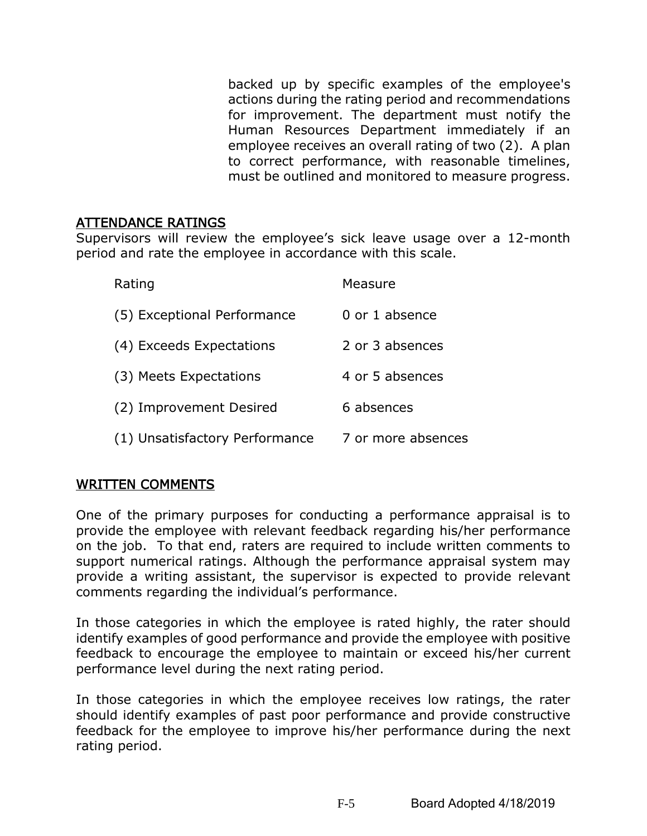backed up by specific examples of the employee's actions during the rating period and recommendations for improvement. The department must notify the Human Resources Department immediately if an employee receives an overall rating of two (2). A plan to correct performance, with reasonable timelines, must be outlined and monitored to measure progress.

#### ATTENDANCE RATINGS

Supervisors will review the employee's sick leave usage over a 12-month period and rate the employee in accordance with this scale.

| Rating                         | Measure            |
|--------------------------------|--------------------|
| (5) Exceptional Performance    | 0 or 1 absence     |
| (4) Exceeds Expectations       | 2 or 3 absences    |
| (3) Meets Expectations         | 4 or 5 absences    |
| (2) Improvement Desired        | 6 absences         |
| (1) Unsatisfactory Performance | 7 or more absences |

## WRITTEN COMMENTS

One of the primary purposes for conducting a performance appraisal is to provide the employee with relevant feedback regarding his/her performance on the job. To that end, raters are required to include written comments to support numerical ratings. Although the performance appraisal system may provide a writing assistant, the supervisor is expected to provide relevant comments regarding the individual's performance.

In those categories in which the employee is rated highly, the rater should identify examples of good performance and provide the employee with positive feedback to encourage the employee to maintain or exceed his/her current performance level during the next rating period.

In those categories in which the employee receives low ratings, the rater should identify examples of past poor performance and provide constructive feedback for the employee to improve his/her performance during the next rating period.